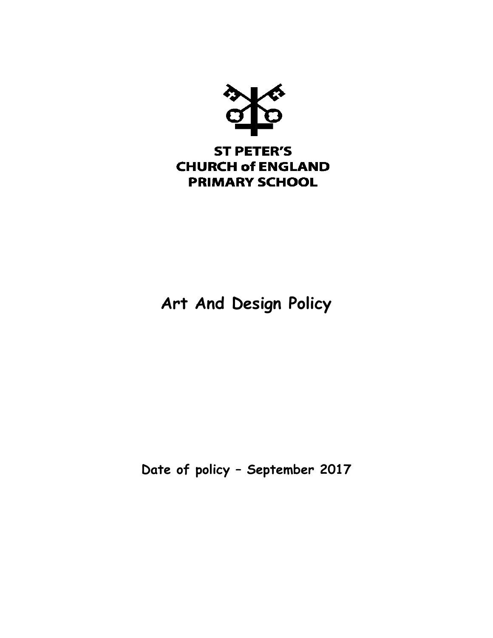

# **Art And Design Policy**

**Date of policy – September 2017**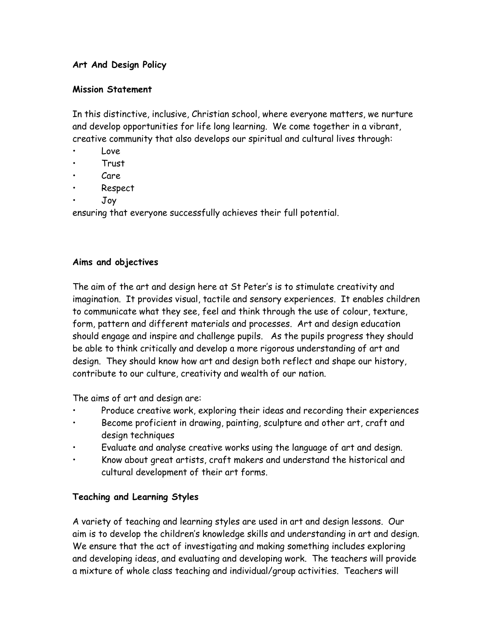## **Art And Design Policy**

#### **Mission Statement**

In this distinctive, inclusive, Christian school, where everyone matters, we nurture and develop opportunities for life long learning. We come together in a vibrant, creative community that also develops our spiritual and cultural lives through:

- Love
- Trust
- Care
- Respect
- Joy

ensuring that everyone successfully achieves their full potential.

#### **Aims and objectives**

The aim of the art and design here at St Peter's is to stimulate creativity and imagination. It provides visual, tactile and sensory experiences. It enables children to communicate what they see, feel and think through the use of colour, texture, form, pattern and different materials and processes. Art and design education should engage and inspire and challenge pupils. As the pupils progress they should be able to think critically and develop a more rigorous understanding of art and design. They should know how art and design both reflect and shape our history, contribute to our culture, creativity and wealth of our nation.

The aims of art and design are:

- Produce creative work, exploring their ideas and recording their experiences
- Become proficient in drawing, painting, sculpture and other art, craft and design techniques
- Evaluate and analyse creative works using the language of art and design.
- Know about great artists, craft makers and understand the historical and cultural development of their art forms.

# **Teaching and Learning Styles**

A variety of teaching and learning styles are used in art and design lessons. Our aim is to develop the children's knowledge skills and understanding in art and design. We ensure that the act of investigating and making something includes exploring and developing ideas, and evaluating and developing work. The teachers will provide a mixture of whole class teaching and individual/group activities. Teachers will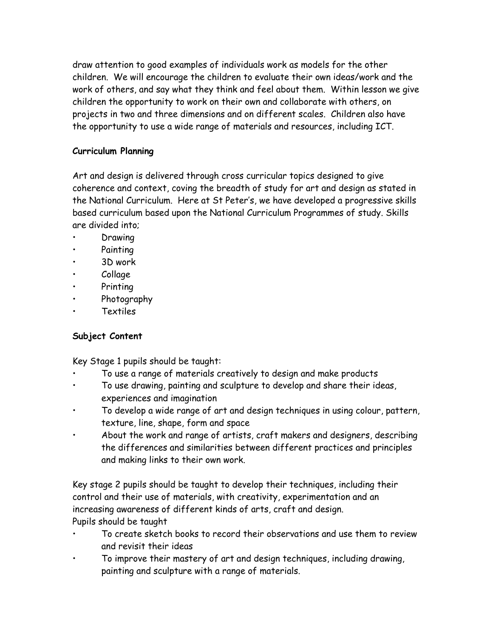draw attention to good examples of individuals work as models for the other children. We will encourage the children to evaluate their own ideas/work and the work of others, and say what they think and feel about them. Within lesson we give children the opportunity to work on their own and collaborate with others, on projects in two and three dimensions and on different scales. Children also have the opportunity to use a wide range of materials and resources, including ICT.

# **Curriculum Planning**

Art and design is delivered through cross curricular topics designed to give coherence and context, coving the breadth of study for art and design as stated in the National Curriculum. Here at St Peter's, we have developed a progressive skills based curriculum based upon the National Curriculum Programmes of study. Skills are divided into;

- **Drawing**
- Painting
- 3D work
- Collage
- Printing
- Photography
- **Textiles**

# **Subject Content**

Key Stage 1 pupils should be taught:

- To use a range of materials creatively to design and make products
- To use drawing, painting and sculpture to develop and share their ideas, experiences and imagination
- To develop a wide range of art and design techniques in using colour, pattern, texture, line, shape, form and space
- About the work and range of artists, craft makers and designers, describing the differences and similarities between different practices and principles and making links to their own work.

Key stage 2 pupils should be taught to develop their techniques, including their control and their use of materials, with creativity, experimentation and an increasing awareness of different kinds of arts, craft and design. Pupils should be taught

- To create sketch books to record their observations and use them to review and revisit their ideas
- To improve their mastery of art and design techniques, including drawing, painting and sculpture with a range of materials.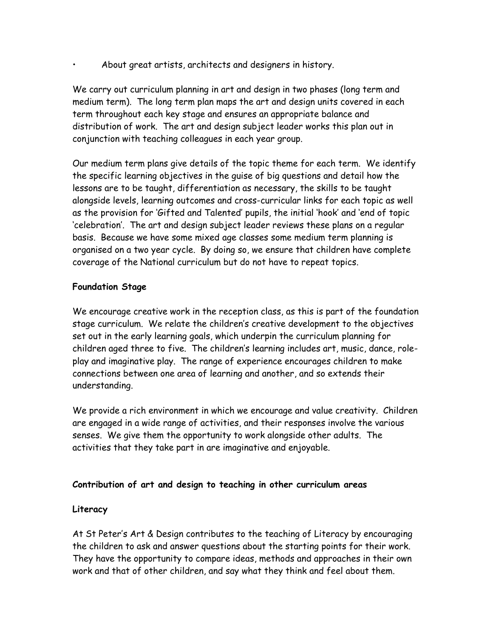• About great artists, architects and designers in history.

We carry out curriculum planning in art and design in two phases (long term and medium term). The long term plan maps the art and design units covered in each term throughout each key stage and ensures an appropriate balance and distribution of work. The art and design subject leader works this plan out in conjunction with teaching colleagues in each year group.

Our medium term plans give details of the topic theme for each term. We identify the specific learning objectives in the guise of big questions and detail how the lessons are to be taught, differentiation as necessary, the skills to be taught alongside levels, learning outcomes and cross-curricular links for each topic as well as the provision for 'Gifted and Talented' pupils, the initial 'hook' and 'end of topic 'celebration'. The art and design subject leader reviews these plans on a regular basis. Because we have some mixed age classes some medium term planning is organised on a two year cycle. By doing so, we ensure that children have complete coverage of the National curriculum but do not have to repeat topics.

## **Foundation Stage**

We encourage creative work in the reception class, as this is part of the foundation stage curriculum. We relate the children's creative development to the objectives set out in the early learning goals, which underpin the curriculum planning for children aged three to five. The children's learning includes art, music, dance, roleplay and imaginative play. The range of experience encourages children to make connections between one area of learning and another, and so extends their understanding.

We provide a rich environment in which we encourage and value creativity. Children are engaged in a wide range of activities, and their responses involve the various senses. We give them the opportunity to work alongside other adults. The activities that they take part in are imaginative and enjoyable.

# **Contribution of art and design to teaching in other curriculum areas**

#### **Literacy**

At St Peter's Art & Design contributes to the teaching of Literacy by encouraging the children to ask and answer questions about the starting points for their work. They have the opportunity to compare ideas, methods and approaches in their own work and that of other children, and say what they think and feel about them.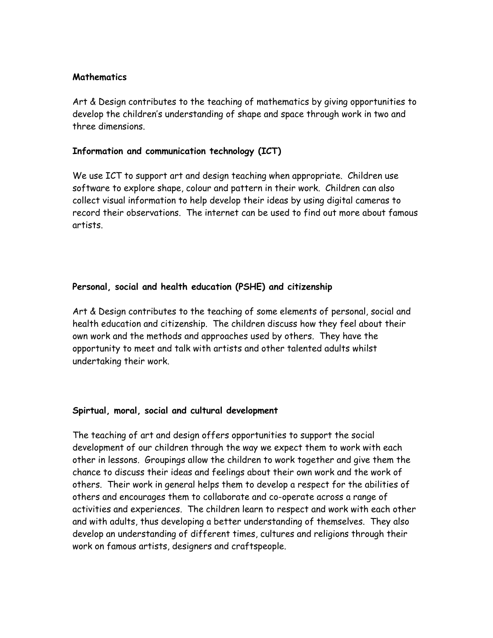#### **Mathematics**

Art & Design contributes to the teaching of mathematics by giving opportunities to develop the children's understanding of shape and space through work in two and three dimensions.

#### **Information and communication technology (ICT)**

We use ICT to support art and design teaching when appropriate. Children use software to explore shape, colour and pattern in their work. Children can also collect visual information to help develop their ideas by using digital cameras to record their observations. The internet can be used to find out more about famous artists.

#### **Personal, social and health education (PSHE) and citizenship**

Art & Design contributes to the teaching of some elements of personal, social and health education and citizenship. The children discuss how they feel about their own work and the methods and approaches used by others. They have the opportunity to meet and talk with artists and other talented adults whilst undertaking their work.

#### **Spirtual, moral, social and cultural development**

The teaching of art and design offers opportunities to support the social development of our children through the way we expect them to work with each other in lessons. Groupings allow the children to work together and give them the chance to discuss their ideas and feelings about their own work and the work of others. Their work in general helps them to develop a respect for the abilities of others and encourages them to collaborate and co-operate across a range of activities and experiences. The children learn to respect and work with each other and with adults, thus developing a better understanding of themselves. They also develop an understanding of different times, cultures and religions through their work on famous artists, designers and craftspeople.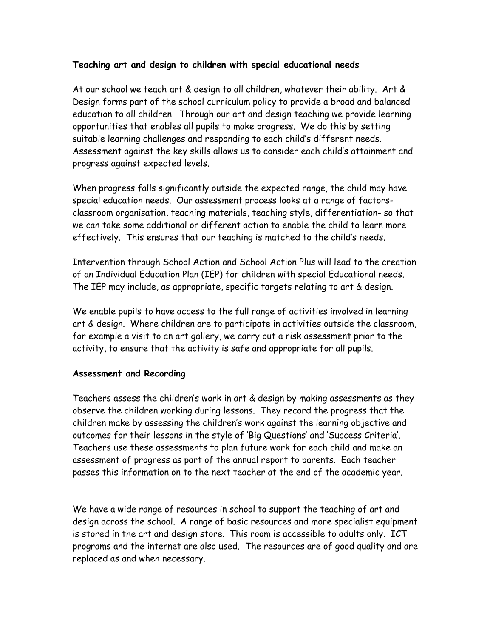#### **Teaching art and design to children with special educational needs**

At our school we teach art & design to all children, whatever their ability. Art & Design forms part of the school curriculum policy to provide a broad and balanced education to all children. Through our art and design teaching we provide learning opportunities that enables all pupils to make progress. We do this by setting suitable learning challenges and responding to each child's different needs. Assessment against the key skills allows us to consider each child's attainment and progress against expected levels.

When progress falls significantly outside the expected range, the child may have special education needs. Our assessment process looks at a range of factorsclassroom organisation, teaching materials, teaching style, differentiation- so that we can take some additional or different action to enable the child to learn more effectively. This ensures that our teaching is matched to the child's needs.

Intervention through School Action and School Action Plus will lead to the creation of an Individual Education Plan (IEP) for children with special Educational needs. The IEP may include, as appropriate, specific targets relating to art & design.

We enable pupils to have access to the full range of activities involved in learning art & design. Where children are to participate in activities outside the classroom, for example a visit to an art gallery, we carry out a risk assessment prior to the activity, to ensure that the activity is safe and appropriate for all pupils.

#### **Assessment and Recording**

Teachers assess the children's work in art & design by making assessments as they observe the children working during lessons. They record the progress that the children make by assessing the children's work against the learning objective and outcomes for their lessons in the style of 'Big Questions' and 'Success Criteria'. Teachers use these assessments to plan future work for each child and make an assessment of progress as part of the annual report to parents. Each teacher passes this information on to the next teacher at the end of the academic year.

We have a wide range of resources in school to support the teaching of art and design across the school. A range of basic resources and more specialist equipment is stored in the art and design store. This room is accessible to adults only. ICT programs and the internet are also used. The resources are of good quality and are replaced as and when necessary.